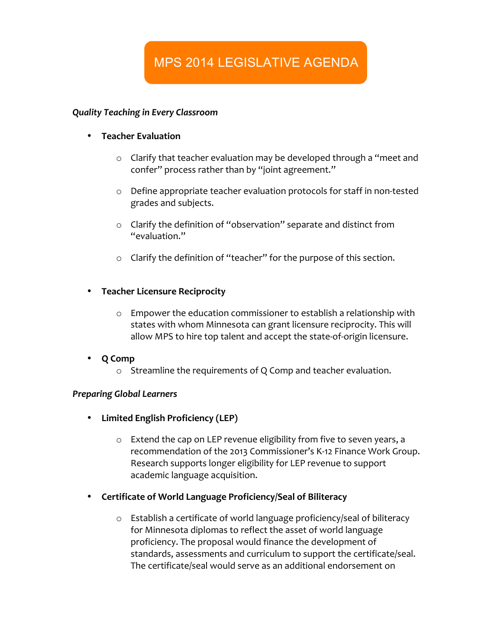# MPS 2014 LEGISLATIVE AGENDA

### *Quality Teaching in Every Classroom*

- **•** Teacher Evaluation
	- $\circ$  Clarify that teacher evaluation may be developed through a "meet and confer" process rather than by "joint agreement."
	- $\circ$  Define appropriate teacher evaluation protocols for staff in non-tested grades and subjects.
	- $\circ$  Clarify the definition of "observation" separate and distinct from "evaluation."
	- $\circ$  Clarify the definition of "teacher" for the purpose of this section.

# • **Teacher Licensure Reciprocity**

- $\circ$  Empower the education commissioner to establish a relationship with states with whom Minnesota can grant licensure reciprocity. This will allow MPS to hire top talent and accept the state-of-origin licensure.
- **Q Comp**
	- $\circ$  Streamline the requirements of Q Comp and teacher evaluation.

# *Preparing Global Learners*

- **Limited English Proficiency (LEP)**
	- $\circ$  Extend the cap on LEP revenue eligibility from five to seven years, a recommendation of the 2013 Commissioner's K-12 Finance Work Group. Research supports longer eligibility for LEP revenue to support academic language acquisition.
- **Certificate of World Language Proficiency/Seal of Biliteracy**
	- o Establish a certificate of world language proficiency/seal of biliteracy for Minnesota diplomas to reflect the asset of world language proficiency. The proposal would finance the development of standards, assessments and curriculum to support the certificate/seal. The certificate/seal would serve as an additional endorsement on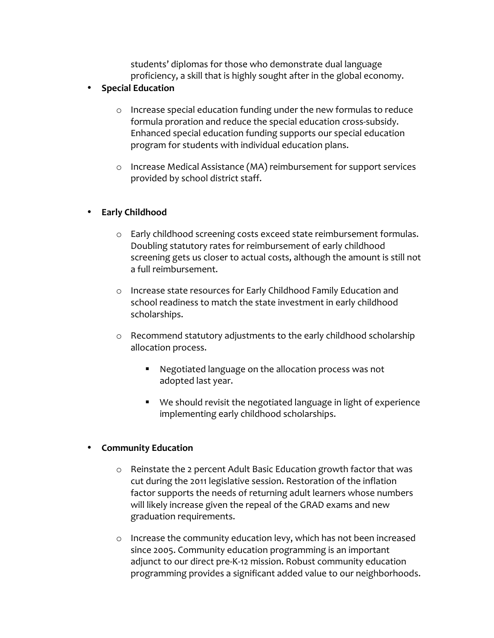students' diplomas for those who demonstrate dual language proficiency, a skill that is highly sought after in the global economy.

# • **Special Education**

- $\circ$  Increase special education funding under the new formulas to reduce formula proration and reduce the special education cross-subsidy. Enhanced special education funding supports our special education program for students with individual education plans.
- o Increase Medical Assistance (MA) reimbursement for support services provided by school district staff.

# • **Early Childhood**

- $\circ$  Early childhood screening costs exceed state reimbursement formulas. Doubling statutory rates for reimbursement of early childhood screening gets us closer to actual costs, although the amount is still not a full reimbursement.
- o Increase state resources for Early Childhood Family Education and school readiness to match the state investment in early childhood scholarships.
- o Recommend statutory adjustments to the early childhood scholarship allocation process.
	- Negotiated language on the allocation process was not adopted last year.
	- We should revisit the negotiated language in light of experience implementing early childhood scholarships.

# • **Community Education**

- $\circ$  Reinstate the 2 percent Adult Basic Education growth factor that was cut during the 2011 legislative session. Restoration of the inflation factor supports the needs of returning adult learners whose numbers will likely increase given the repeal of the GRAD exams and new graduation requirements.
- $\circ$  Increase the community education levy, which has not been increased since 2005. Community education programming is an important adjunct to our direct pre-K-12 mission. Robust community education programming provides a significant added value to our neighborhoods.